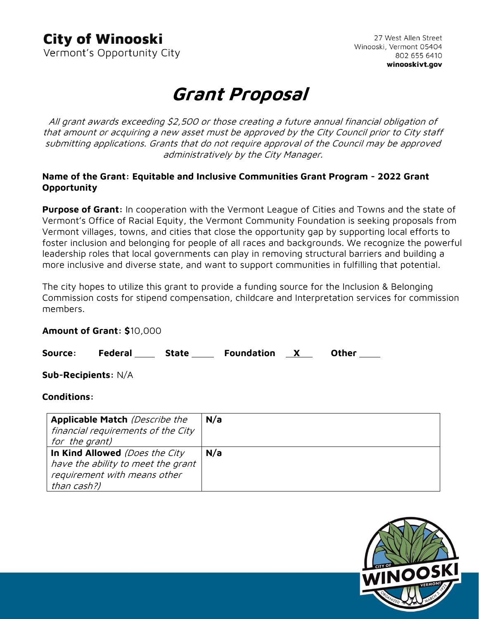### **City of Winooski**

Vermont's Opportunity City

27 West Allen Street Winooski, Vermont 05404 802 655 6410 winooskivt.gov

# **Grant Proposal**

All grant awards exceeding \$2,500 or those creating a future annual financial obligation of that amount or acquiring a new asset must be approved by the City Council prior to City staff submitting applications. Grants that do not require approval of the Council may be approved administratively by the City Manager.

#### **Name of the Grant: Equitable and Inclusive Communities Grant Program - 2022 Grant Opportunity**

**Purpose of Grant:** In cooperation with the Vermont League of Cities and Towns and the state of Vermont's Office of Racial Equity, the Vermont Community Foundation is seeking proposals from Vermont villages, towns, and cities that close the opportunity gap by supporting local efforts to foster inclusion and belonging for people of all races and backgrounds. We recognize the powerful leadership roles that local governments can play in removing structural barriers and building a more inclusive and diverse state, and want to support communities in fulfilling that potential.

The city hopes to utilize this grant to provide a funding source for the Inclusion & Belonging Commission costs for stipend compensation, childcare and Interpretation services for commission members.

#### **Amount of Grant: \$**10,000

Source: Federal State Foundation X Other

**Sub-Recipients:** N/A

#### **Conditions:**

| <b>Applicable Match (Describe the</b> | N/a |
|---------------------------------------|-----|
| financial requirements of the City    |     |
| for the grant)                        |     |
| In Kind Allowed (Does the City        | N/a |
| have the ability to meet the grant    |     |
| requirement with means other          |     |
| than cash?)                           |     |